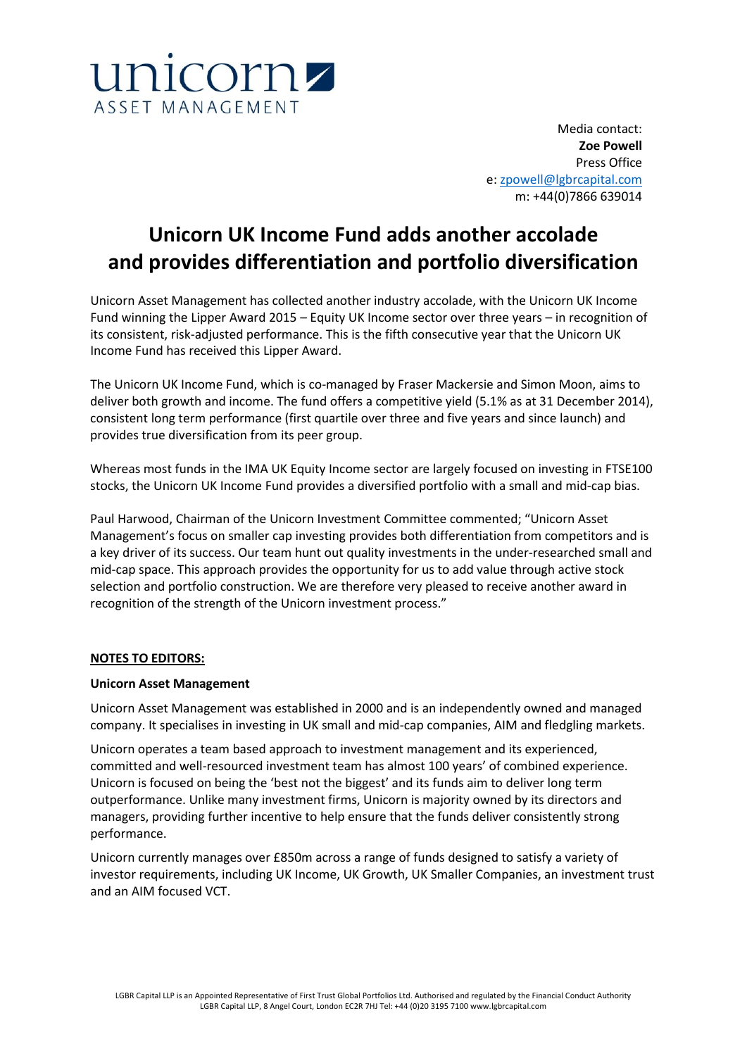

Media contact: **Zoe Powell** Press Office e: [zpowell@lgbrcapital.com](mailto:zpowell@lgbrcapital.com) m: +44(0)7866 639014

# **Unicorn UK Income Fund adds another accolade and provides differentiation and portfolio diversification**

Unicorn Asset Management has collected another industry accolade, with the Unicorn UK Income Fund winning the Lipper Award 2015 – Equity UK Income sector over three years – in recognition of its consistent, risk-adjusted performance. This is the fifth consecutive year that the Unicorn UK Income Fund has received this Lipper Award.

The Unicorn UK Income Fund, which is co-managed by Fraser Mackersie and Simon Moon, aims to deliver both growth and income. The fund offers a competitive yield (5.1% as at 31 December 2014), consistent long term performance (first quartile over three and five years and since launch) and provides true diversification from its peer group.

Whereas most funds in the IMA UK Equity Income sector are largely focused on investing in FTSE100 stocks, the Unicorn UK Income Fund provides a diversified portfolio with a small and mid-cap bias.

Paul Harwood, Chairman of the Unicorn Investment Committee commented; "Unicorn Asset Management's focus on smaller cap investing provides both differentiation from competitors and is a key driver of its success. Our team hunt out quality investments in the under-researched small and mid-cap space. This approach provides the opportunity for us to add value through active stock selection and portfolio construction. We are therefore very pleased to receive another award in recognition of the strength of the Unicorn investment process."

## **NOTES TO EDITORS:**

## **Unicorn Asset Management**

Unicorn Asset Management was established in 2000 and is an independently owned and managed company. It specialises in investing in UK small and mid-cap companies, AIM and fledgling markets.

Unicorn operates a team based approach to investment management and its experienced, committed and well-resourced investment team has almost 100 years' of combined experience. Unicorn is focused on being the 'best not the biggest' and its funds aim to deliver long term outperformance. Unlike many investment firms, Unicorn is majority owned by its directors and managers, providing further incentive to help ensure that the funds deliver consistently strong performance.

Unicorn currently manages over £850m across a range of funds designed to satisfy a variety of investor requirements, including UK Income, UK Growth, UK Smaller Companies, an investment trust and an AIM focused VCT.